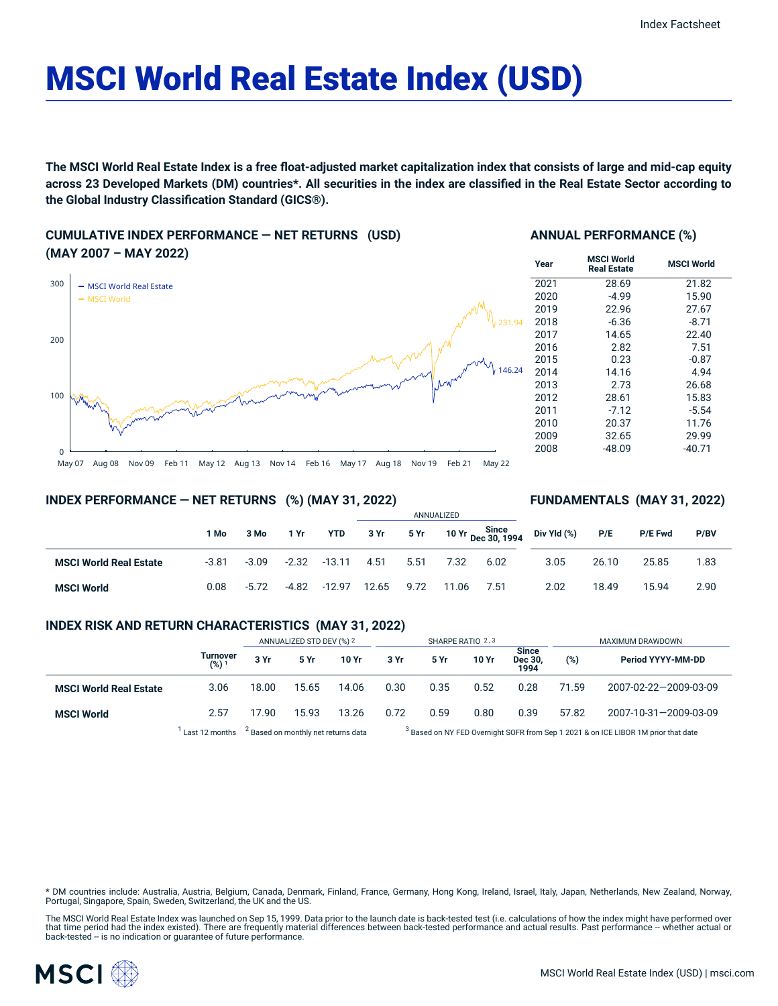# MSCI World Real Estate Index (USD)

The MSCI World Real Estate Index is a free float-adjusted market capitalization index that consists of large and mid-cap equity across 23 Developed Markets (DM) countries\*. All securities in the index are classified in the Real Estate Sector according to **the Global Industry Classification Standard (GICS®).**

# **CUMULATIVE INDEX PERFORMANCE — NET RETURNS (USD) (MAY 2007 – MAY 2022)**



### **ANNUAL PERFORMANCE (%)**

| Year | <b>MSCI World</b><br><b>Real Estate</b> | <b>MSCI World</b> |
|------|-----------------------------------------|-------------------|
| 2021 | 28.69                                   | 21.82             |
| 2020 | $-4.99$                                 | 15.90             |
| 2019 | 22.96                                   | 27.67             |
| 2018 | $-6.36$                                 | $-8.71$           |
| 2017 | 14.65                                   | 22.40             |
| 2016 | 2.82                                    | 7.51              |
| 2015 | 0.23                                    | $-0.87$           |
| 2014 | 14.16                                   | 4.94              |
| 2013 | 2.73                                    | 26.68             |
| 2012 | 28.61                                   | 15.83             |
| 2011 | $-7.12$                                 | $-5.54$           |
| 2010 | 20.37                                   | 11.76             |
| 2009 | 32.65                                   | 29.99             |
| 2008 | -48.09                                  | -40.71            |

**FUNDAMENTALS (MAY 31, 2022)**

# **INDEX PERFORMANCE — NET RETURNS (%) (MAY 31, 2022)**

#### ANNUALIZED **1 Mo 3 Mo 1 Yr YTD 3 Yr 5 Yr 10 Yr Since Dec 30, 1994 MSCI World Real Estate** -3.81 -3.09 -2.32 -13.11 4.51 5.51 7.32 6.02 **MSCI World** 0.08 -5.72 -4.82 -12.97 12.65 9.72 11.06 7.51 **Div Yld (%) P/E P/E Fwd P/BV** 3.05 26.10 25.85 1.83 2.02 18.49 15.94 2.90

# **INDEX RISK AND RETURN CHARACTERISTICS (MAY 31, 2022)**

|                               |                              | ANNUALIZED STD DEV (%) 2                       |             | SHARPE RATIO 2,3 |                                                                                               |      |       | MAXIMUM DRAWDOWN                |       |                       |
|-------------------------------|------------------------------|------------------------------------------------|-------------|------------------|-----------------------------------------------------------------------------------------------|------|-------|---------------------------------|-------|-----------------------|
|                               | Turnover<br>(%) <sup>1</sup> | 3 Yr                                           | <b>5 Yr</b> | 10 Yr            | 3 Yr                                                                                          | 5 Yr | 10 Yr | <b>Since</b><br>Dec 30.<br>1994 | (%)   | Period YYYY-MM-DD     |
| <b>MSCI World Real Estate</b> | 3.06                         | 18.00                                          | 15.65       | 14.06            | 0.30                                                                                          | 0.35 | 0.52  | 0.28                            | 71.59 | 2007-02-22-2009-03-09 |
| <b>MSCI World</b>             | 2.57                         | 17.90                                          | 15.93       | 13.26            | 0.72                                                                                          | 0.59 | 0.80  | 0.39                            | 57.82 | 2007-10-31-2009-03-09 |
|                               | Last 12 months               | <sup>2</sup> Based on monthly net returns data |             |                  | <sup>3</sup> Based on NY FED Overnight SOFR from Sep 1 2021 & on ICE LIBOR 1M prior that date |      |       |                                 |       |                       |

\* DM countries include: Australia, Austria, Belgium, Canada, Denmark, Finland, France, Germany, Hong Kong, Ireland, Israel, Italy, Japan, Netherlands, New Zealand, Norway,<br>Portugal, Singapore, Spain, Sweden, Switzerland, t

The MSCI World Real Estate Index was launched on Sep 15, 1999. Data prior to the launch date is back-tested test (i.e. calculations of how the index might have performed over<br>that time period had the index existed). There

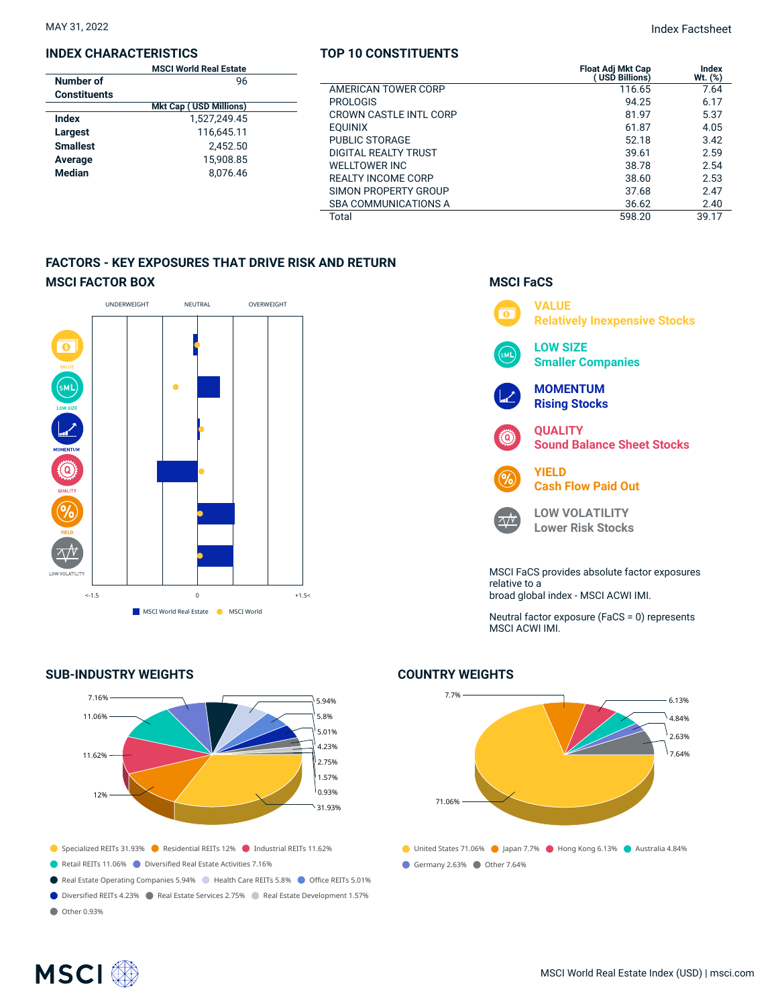#### **INDEX CHARACTERISTICS**

|                     | <b>MSCI World Real Estate</b> |  |
|---------------------|-------------------------------|--|
| Number of           | 96                            |  |
| <b>Constituents</b> |                               |  |
|                     | <b>Mkt Cap (USD Millions)</b> |  |
| Index               | 1,527,249.45                  |  |
| Largest             | 116,645.11                    |  |
| <b>Smallest</b>     | 2.452.50                      |  |
| Average             | 15.908.85                     |  |
| <b>Median</b>       | 8.076.46                      |  |
|                     |                               |  |

### **TOP 10 CONSTITUENTS**

MAY 31, 2022 Index Factsheet

| CI World Real Estate<br>96 |                               | <b>Float Adi Mkt Cap</b><br>USD Billions) | <b>Index</b><br>Wt. (%) |
|----------------------------|-------------------------------|-------------------------------------------|-------------------------|
|                            | AMERICAN TOWER CORP           | 116.65                                    | 7.64                    |
| <b>Cap (USD Millions)</b>  | <b>PROLOGIS</b>               | 94.25                                     | 6.17                    |
| 1,527,249.45               | <b>CROWN CASTLE INTL CORP</b> | 81.97                                     | 5.37                    |
| 116,645.11                 | <b>EOUINIX</b>                | 61.87                                     | 4.05                    |
| 2,452.50                   | <b>PUBLIC STORAGE</b>         | 52.18                                     | 3.42                    |
| 15,908.85                  | DIGITAL REALTY TRUST          | 39.61                                     | 2.59                    |
|                            | <b>WELLTOWER INC</b>          | 38.78                                     | 2.54                    |
| 8.076.46                   | <b>REALTY INCOME CORP</b>     | 38.60                                     | 2.53                    |
|                            | SIMON PROPERTY GROUP          | 37.68                                     | 2.47                    |
|                            | <b>SBA COMMUNICATIONS A</b>   | 36.62                                     | 2.40                    |
|                            | Total                         | 598.20                                    | 39.17                   |

**MSCI FaCS**

# **FACTORS - KEY EXPOSURES THAT DRIVE RISK AND RETURN MSCI FACTOR BOX**



# **SUB-INDUSTRY WEIGHTS**



- 
- Real Estate Operating Companies 5.94% Health Care REITs 5.8% Office REITs 5.01%
- Diversified REITs 4.23% Real Estate Services 2.75% Real Estate Development 1.57%
- Other 0.93%



relative to a broad global index - MSCI ACWI IMI.

Neutral factor exposure (FaCS = 0) represents MSCI ACWI IMI.